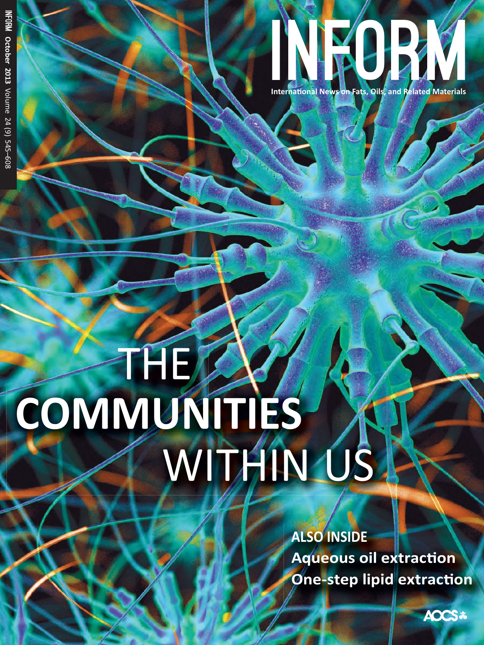# COMMUNITIES X

**Aqueous oil extraction One-step lipid extraction** 

TNA-2

ational News on Fats, Oils, and Related

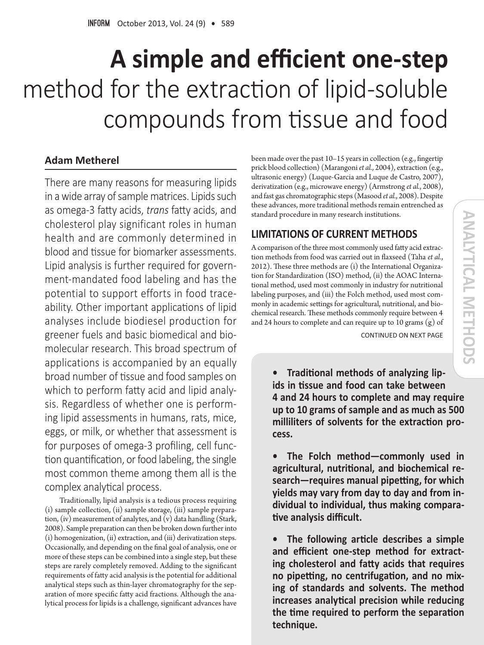## $\bf{A}$  **simple and efficient one-step** method for the extraction of lipid-soluble compounds from tissue and food

### **Adam Metherel**

There are many reasons for measuring lipids in a wide array of sample matrices. Lipids such as omega-3 fatty acids, *trans* fatty acids, and cholesterol play significant roles in human health and are commonly determined in blood and tissue for biomarker assessments. Lipid analysis is further required for government-mandated food labeling and has the potential to support efforts in food traceability. Other important applications of lipid analyses include biodiesel production for greener fuels and basic biomedical and biomolecular research. This broad spectrum of applications is accompanied by an equally broad number of tissue and food samples on which to perform fatty acid and lipid analysis. Regardless of whether one is performing lipid assessments in humans, rats, mice, eggs, or milk, or whether that assessment is for purposes of omega-3 profiling, cell function quantification, or food labeling, the single most common theme among them all is the complex analytical process.

Traditionally, lipid analysis is a tedious process requiring (i) sample collection, (ii) sample storage, (iii) sample preparation, (iv) measurement of analytes, and (v) data handling (Stark, 2008). Sample preparation can then be broken down further into (i) homogenization, (ii) extraction, and (iii) derivatization steps. Occasionally, and depending on the final goal of analysis, one or more of these steps can be combined into a single step, but these steps are rarely completely removed. Adding to the significant requirements of fatty acid analysis is the potential for additional analytical steps such as thin-layer chromatography for the separation of more specific fatty acid fractions. Although the analytical process for lipids is a challenge, significant advances have

been made over the past 10–15 years in collection (e.g., fingertip prick blood collection) (Marangoni *et al.*, 2004), extraction (e.g., ultrasonic energy) (Luque-Garcia and Luque de Castro, 2007), derivatization (e.g., microwave energy) (Armstrong *et al.*, 2008), and fast gas chromatographic steps (Masood *et al.*, 2008). Despite these advances, more traditional methods remain entrenched as standard procedure in many research institutions.

### **LIMITATIONS OF CURRENT METHODS**

A comparison of the three most commonly used fatty acid extraction methods from food was carried out in flaxseed (Taha *et al.*, 2012). These three methods are (i) the International Organization for Standardization (ISO) method, (ii) the AOAC International method, used most commonly in industry for nutritional labeling purposes, and (iii) the Folch method, used most commonly in academic settings for agricultural, nutritional, and biochemical research. These methods commonly require between 4 and 24 hours to complete and can require up to 10 grams (g) of

CONTINUED ON NEXT PAGE

**•** Traditional methods of analyzing lipids in tissue and food can take between **4 and 24 hours to complete and may require** up to 10 grams of sample and as much as 500 milliliters of solvents for the extraction process.

**•** The Folch method-commonly used in  $a$ gricultural, nutritional, and biochemical research–requires manual pipetting, for which **Lighthrow Washington State State In-** yields may vary from individual to individual, thus making comparative analysis difficult.

**•** The following article describes a simple and efficient one-step method for extracting cholesterol and fatty acids that requires no pipetting, no centrifugation, and no mixing of standards and solvents. The method increases analytical precision while reducing the time required to perform the separation technique.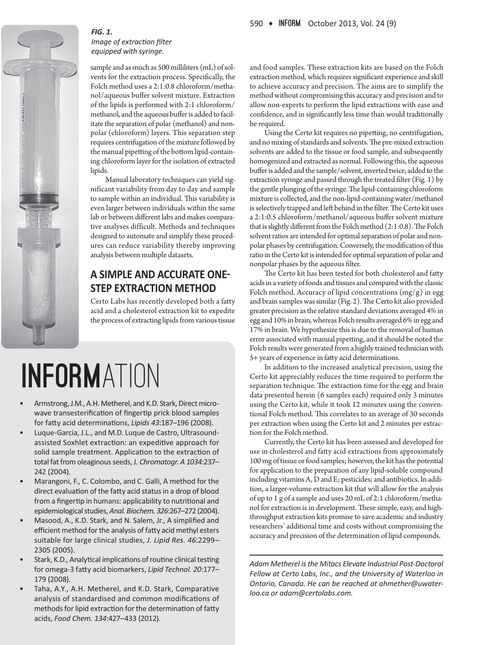

### $FIG. 1.$ *lmage of extraction filter*  $e$ *auipped with syringe.*

sample and as much as 500 milliliters (mL) of solvents for the extraction process. Specifically, the Folch method uses a 2:1:0.8 chloroform/methanol/aqueous buffer solvent mixture. Extraction of the lipids is performed with 2:1 chloroform/ methanol, and the aqueous buffer is added to facilitate the separation of polar (methanol) and nonpolar (chloroform) layers. This separation step requires centrifugation of the mixture followed by the manual pipetting of the bottom lipid-containing chloroform layer for the isolation of extracted lipids.

Manual laboratory techniques can yield significant variability from day to day and sample to sample within an individual. This variability is even larger between individuals within the same lab or between different labs and makes comparative analyses difficult. Methods and techniques designed to automate and simplify these procedures can reduce variability thereby improving analysis between multiple datasets.

### **A SIMPLE AND ACCURATE ONE-STEP EXTRACTION METHOD**

Certo Labs has recently developed both a fatty acid and a cholesterol extraction kit to expedite the process of extracting lipids from various tissue

# INFORMATION

- Armstrong, J.M., A.H. Metherel, and K.D. Stark, Direct microwave transesterification of fingertip prick blood samples for fatty acid determinations, Lipids 43:187-196 (2008).
- Luque-Garcia, J.L., and M.D. Luque de Castro, Ultrasoundassisted Soxhlet extraction: an expeditive approach for solid sample treatment. Application to the extraction of total fat from oleaginous seeds, J. Chromatogr. A 1034:237-242 (2004).
- Marangoni, F., C. Colombo, and C. Galli, A method for the direct evaluation of the fatty acid status in a drop of blood from a fingertip in humans: applicability to nutritional and epidemiological studies, Anal. Biochem. 326:267-272 (2004).
- Masood, A., K.D. Stark, and N. Salem, Jr., A simplified and efficient method for the analysis of fatty acid methyl esters suitable for large clinical studies, J. Lipid Res. 46:2299-2305 (2005).
- Stark, K.D., Analytical implications of routine clinical testing for omega-3 fatty acid biomarkers, Lipid Technol. 20:177-179 (2008).
- Taha, A.Y., A.H. Metherel, and K.D. Stark, Comparative analysis of standardised and common modifications of methods for lipid extraction for the determination of fatty acids, Food Chem. 134:427-433 (2012).

and food samples. These extraction kits are based on the Folch extraction method, which requires significant experience and skill to achieve accuracy and precision. The aims are to simplify the method without compromising this accuracy and precision and to allow non-experts to perform the lipid extractions with ease and confidence, and in significantly less time than would traditionally be required.

Using the Certo kit requires no pipetting, no centrifugation, and no mixing of standards and solvents. The pre-mixed extraction solvents are added to the tissue or food sample, and subsequently homogenized and extracted as normal. Following this, the aqueous buffer is added and the sample/solvent, inverted twice, added to the extraction syringe and passed through the treated filter (Fig. 1) by the gentle plunging of the syringe. The lipid-containing chloroform mixture is collected, and the non-lipid-containing water/methanol is selectively trapped and left behind in the filter. The Certo kit uses a 2:1:0.5 chloroform/methanol/aqueous buffer solvent mixture that is slightly different from the Folch method (2:1:0.8). The Folch solvent ratios are intended for optimal separation of polar and nonpolar phases by centrifugation. Conversely, the modification of this ratio in the Certo kit is intended for optimal separation of polar and nonpolar phases by the aqueous filter.

The Certo kit has been tested for both cholesterol and fatty acids in a variety of foods and tissues and compared with the classic Folch method. Accuracy of lipid concentrations  $(mg/g)$  in egg and brain samples was similar (Fig. 2). The Certo kit also provided greater precision as the relative standard deviations averaged 4% in egg and 10% in brain, whereas Folch results averaged 6% in egg and 17% in brain. We hypothesize this is due to the removal of human error associated with manual pipetting, and it should be noted the Folch results were generated from a highly trained technician with 5+ years of experience in fatty acid determinations.

In addition to the increased analytical precision, using the Certo kit appreciably reduces the time required to perform the separation technique. The extraction time for the egg and brain data presented herein (6 samples each) required only 3 minutes using the Certo kit, while it took 12 minutes using the conventional Folch method. This correlates to an average of 30 seconds per extraction when using the Certo kit and 2 minutes per extraction for the Folch method.

Currently, the Certo kit has been assessed and developed for use in cholesterol and fatty acid extractions from approximately 100 mg of tissue or food samples; however, the kit has the potential for application to the preparation of any lipid-soluble compound including vitamins A, D and E; pesticides; and antibiotics. In addition, a larger-volume extraction kit that will allow for the analysis of up to 1 g of a sample and uses 20 mL of 2:1 chloroform/methanol for extraction is in development. These simple, easy, and highthroughput extraction kits promise to save academic and industry researchers' additional time and costs without compromising the accuracy and precision of the determination of lipid compounds.

Adam Metherel is the Mitacs Elevate Industrial Post-Doctoral Fellow at Certo Labs, Inc., and the University of Waterloo in *Ontario, Canada. He can be reached at ahmether@uwaterloo.ca or adam@certolabs.com.*